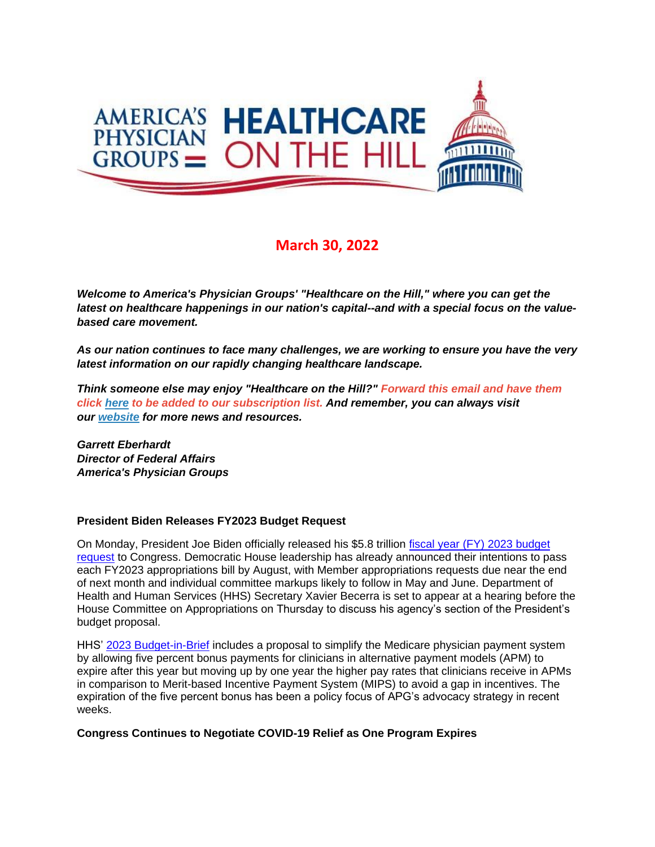

## **March 30, 2022**

*Welcome to America's Physician Groups' "Healthcare on the Hill," where you can get the latest on healthcare happenings in our nation's capital--and with a special focus on the valuebased care movement.*

*As our nation continues to face many challenges, we are working to ensure you have the very latest information on our rapidly changing healthcare landscape.*

*Think someone else may enjoy "Healthcare on the Hill?" Forward this email and have them click [here](mailto:srobinette@apg.org) to be added to our subscription list. And remember, you can always visit our [website](http://link.apg.org/c/7/eyJhaSI6Njk4MDUxNDQsImUiOiJncGhpbGxpcHNAYXBnLm9yZyIsInJpIjoiY29udGFjdC03YWMxOTAzZjFkYzVlYTExYTgxMjAwMGQzYTVhMTdlMy00ZDBkOTAzNmQyYjk0MTAyOTYxNWRmMDUwOTNjNzI2YyIsInJxIjoiMDItYjIyMDExLTZmOTFiNjc1MWVkZjQ0ZDk5YmJkNTc5ZGFkMDFlZGEzIiwicGgiOm51bGwsIm0iOmZhbHNlLCJ1aSI6IjAiLCJ1biI6IiIsInUiOiJodHRwOi8vd3d3LmFwZy5vcmc_X2NsZGVlPVozQm9hV3hzYVhCelFHRndaeTV2Y21jJTNkJnJlY2lwaWVudGlkPWNvbnRhY3QtN2FjMTkwM2YxZGM1ZWExMWE4MTIwMDBkM2E1YTE3ZTMtNGQwZDkwMzZkMmI5NDEwMjk2MTVkZjA1MDkzYzcyNmMmZXNpZD1hOGM3MmIyZi04YTcyLWVjMTEtODk0My0wMDBkM2E1OTkzYWEifQ/SOn7YH87DCIKhgwwa7sBuQ) for more news and resources.* 

*Garrett Eberhardt Director of Federal Affairs America's Physician Groups*

## **President Biden Releases FY2023 Budget Request**

On Monday, President Joe Biden officially released his \$5.8 trillion [fiscal year \(FY\) 2023 budget](http://link.apg.org/c/7/eyJhaSI6Njk4MDUxNDQsImUiOiJncGhpbGxpcHNAYXBnLm9yZyIsInJpIjoiY29udGFjdC03YWMxOTAzZjFkYzVlYTExYTgxMjAwMGQzYTVhMTdlMy02YmVjNTRmZjlkMWY0OWMxYjdjZmQ4M2JlNTcyNWY2MSIsInJxIjoiMDItYjIyMDg5LTI5NTVhNTNkODY0MDQ3OGJiNDJiMGYxOTRlYjNkNTQyIiwicGgiOm51bGwsIm0iOmZhbHNlLCJ1aSI6IjIiLCJ1biI6IiIsInUiOiJodHRwczovL3d3dy53aGl0ZWhvdXNlLmdvdi93cC1jb250ZW50L3VwbG9hZHMvMjAyMi8wMy9idWRnZXRfZnkyMDIzLnBkZj9fY2xkZWU9V2E5dWtlTm9MTFVYa3lnV2VRbEV0VlBuUUJoWDAxbm15ZzVwaHRWcy0xck9JV05raC15blQxUUFZS01saVUwUyZyZWNpcGllbnRpZD1jb250YWN0LTdhYzE5MDNmMWRjNWVhMTFhODEyMDAwZDNhNWExN2UzLTZiZWM1NGZmOWQxZjQ5YzFiN2NmZDgzYmU1NzI1ZjYxJmVzaWQ9ZTE0MDg3ZGItYzhhZi1lYzExLTk4NDEtMDAwZDNhNWEzZTk3In0/Dbn1D9GvEw2XIyTZgFYCNA)  [request](http://link.apg.org/c/7/eyJhaSI6Njk4MDUxNDQsImUiOiJncGhpbGxpcHNAYXBnLm9yZyIsInJpIjoiY29udGFjdC03YWMxOTAzZjFkYzVlYTExYTgxMjAwMGQzYTVhMTdlMy02YmVjNTRmZjlkMWY0OWMxYjdjZmQ4M2JlNTcyNWY2MSIsInJxIjoiMDItYjIyMDg5LTI5NTVhNTNkODY0MDQ3OGJiNDJiMGYxOTRlYjNkNTQyIiwicGgiOm51bGwsIm0iOmZhbHNlLCJ1aSI6IjIiLCJ1biI6IiIsInUiOiJodHRwczovL3d3dy53aGl0ZWhvdXNlLmdvdi93cC1jb250ZW50L3VwbG9hZHMvMjAyMi8wMy9idWRnZXRfZnkyMDIzLnBkZj9fY2xkZWU9V2E5dWtlTm9MTFVYa3lnV2VRbEV0VlBuUUJoWDAxbm15ZzVwaHRWcy0xck9JV05raC15blQxUUFZS01saVUwUyZyZWNpcGllbnRpZD1jb250YWN0LTdhYzE5MDNmMWRjNWVhMTFhODEyMDAwZDNhNWExN2UzLTZiZWM1NGZmOWQxZjQ5YzFiN2NmZDgzYmU1NzI1ZjYxJmVzaWQ9ZTE0MDg3ZGItYzhhZi1lYzExLTk4NDEtMDAwZDNhNWEzZTk3In0/Dbn1D9GvEw2XIyTZgFYCNA) to Congress. Democratic House leadership has already announced their intentions to pass each FY2023 appropriations bill by August, with Member appropriations requests due near the end of next month and individual committee markups likely to follow in May and June. Department of Health and Human Services (HHS) Secretary Xavier Becerra is set to appear at a hearing before the House Committee on Appropriations on Thursday to discuss his agency's section of the President's budget proposal.

HHS' [2023 Budget-in-Brief](http://link.apg.org/c/7/eyJhaSI6Njk4MDUxNDQsImUiOiJncGhpbGxpcHNAYXBnLm9yZyIsInJpIjoiY29udGFjdC03YWMxOTAzZjFkYzVlYTExYTgxMjAwMGQzYTVhMTdlMy02YmVjNTRmZjlkMWY0OWMxYjdjZmQ4M2JlNTcyNWY2MSIsInJxIjoiMDItYjIyMDg5LTI5NTVhNTNkODY0MDQ3OGJiNDJiMGYxOTRlYjNkNTQyIiwicGgiOm51bGwsIm0iOmZhbHNlLCJ1aSI6IjMiLCJ1biI6IiIsInUiOiJodHRwczovL3d3dy5oaHMuZ292L3NpdGVzL2RlZmF1bHQvZmlsZXMvZnktMjAyMy1idWRnZXQtaW4tYnJpZWYucGRmP19jbGRlZT1XYTl1a2VOb0xMVVhreWdXZVFsRXRWUG5RQmhYMDFubXlnNXBodFZzLTFyT0lXTmtoLXluVDFRQVlLTWxpVTBTJnJlY2lwaWVudGlkPWNvbnRhY3QtN2FjMTkwM2YxZGM1ZWExMWE4MTIwMDBkM2E1YTE3ZTMtNmJlYzU0ZmY5ZDFmNDljMWI3Y2ZkODNiZTU3MjVmNjEmZXNpZD1lMTQwODdkYi1jOGFmLWVjMTEtOTg0MS0wMDBkM2E1YTNlOTcifQ/ijg3pQKOJo2YkvAKvZN2ig) includes a proposal to simplify the Medicare physician payment system by allowing five percent bonus payments for clinicians in alternative payment models (APM) to expire after this year but moving up by one year the higher pay rates that clinicians receive in APMs in comparison to Merit-based Incentive Payment System (MIPS) to avoid a gap in incentives. The expiration of the five percent bonus has been a policy focus of APG's advocacy strategy in recent weeks.

## **Congress Continues to Negotiate COVID-19 Relief as One Program Expires**